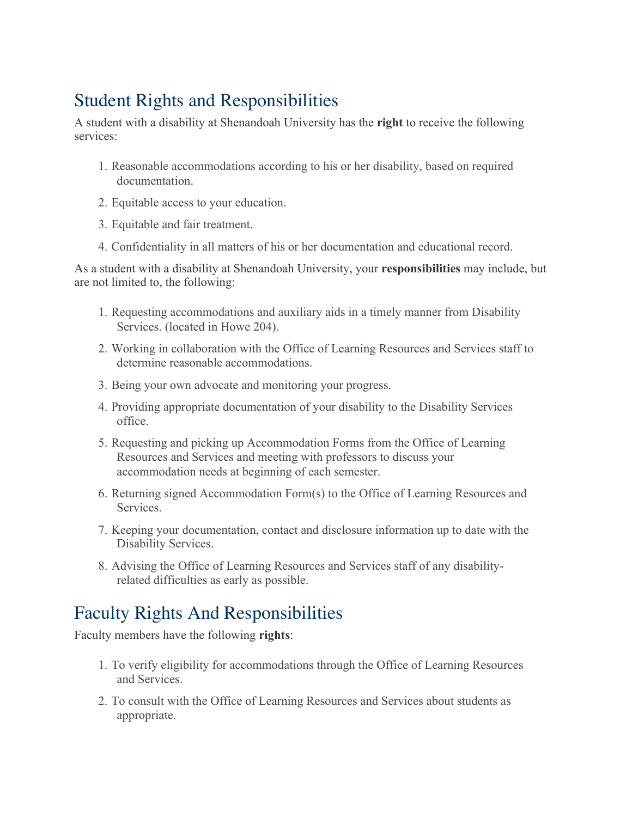# Student Rights and Responsibilities

A student with a disability at Shenandoah University has the **right** to receive the following services:

- 1. Reasonable accommodations according to his or her disability, based on required documentation.
- 2. Equitable access to your education.
- 3. Equitable and fair treatment.
- 4. Confidentiality in all matters of his or her documentation and educational record.

As a student with a disability at Shenandoah University, your **responsibilities** may include, but are not limited to, the following:

- 1. Requesting accommodations and auxiliary aids in a timely manner from Disability Services. (located in Howe 204).
- 2. Working in collaboration with the Office of Learning Resources and Services staff to determine reasonable accommodations.
- 3. Being your own advocate and monitoring your progress.
- 4. Providing appropriate documentation of your disability to the Disability Services office.
- 5. Requesting and picking up Accommodation Forms from the Office of Learning Resources and Services and meeting with professors to discuss your accommodation needs at beginning of each semester.
- 6. Returning signed Accommodation Form(s) to the Office of Learning Resources and **Services**
- 7. Keeping your documentation, contact and disclosure information up to date with the Disability Services.
- 8. Advising the Office of Learning Resources and Services staff of any disabilityrelated difficulties as early as possible.

## Faculty Rights And Responsibilities

Faculty members have the following **rights**:

- 1. To verify eligibility for accommodations through the Office of Learning Resources and Services.
- 2. To consult with the Office of Learning Resources and Services about students as appropriate.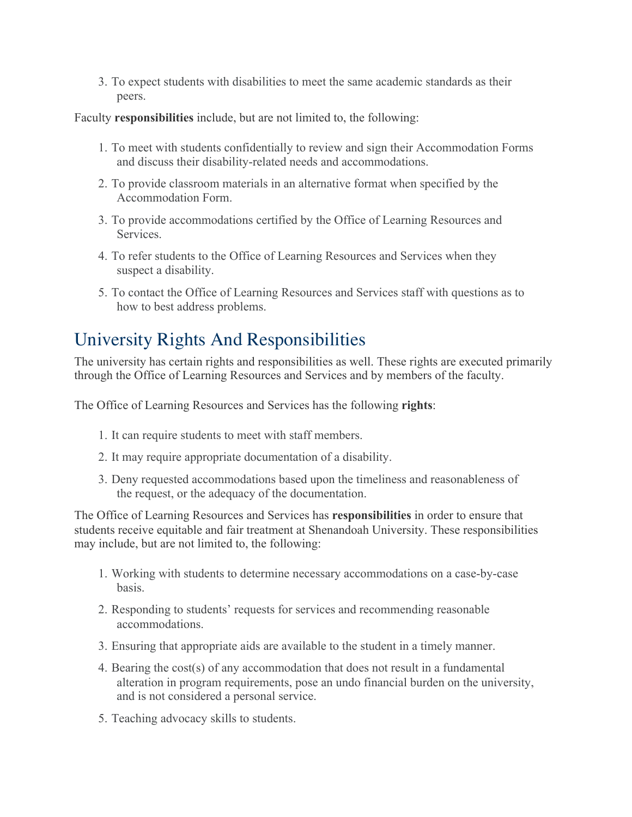3. To expect students with disabilities to meet the same academic standards as their peers.

Faculty **responsibilities** include, but are not limited to, the following:

- 1. To meet with students confidentially to review and sign their Accommodation Forms and discuss their disability-related needs and accommodations.
- 2. To provide classroom materials in an alternative format when specified by the Accommodation Form.
- 3. To provide accommodations certified by the Office of Learning Resources and Services.
- 4. To refer students to the Office of Learning Resources and Services when they suspect a disability.
- 5. To contact the Office of Learning Resources and Services staff with questions as to how to best address problems.

## University Rights And Responsibilities

The university has certain rights and responsibilities as well. These rights are executed primarily through the Office of Learning Resources and Services and by members of the faculty.

The Office of Learning Resources and Services has the following **rights**:

- 1. It can require students to meet with staff members.
- 2. It may require appropriate documentation of a disability.
- 3. Deny requested accommodations based upon the timeliness and reasonableness of the request, or the adequacy of the documentation.

The Office of Learning Resources and Services has **responsibilities** in order to ensure that students receive equitable and fair treatment at Shenandoah University. These responsibilities may include, but are not limited to, the following:

- 1. Working with students to determine necessary accommodations on a case-by-case basis.
- 2. Responding to students' requests for services and recommending reasonable accommodations.
- 3. Ensuring that appropriate aids are available to the student in a timely manner.
- 4. Bearing the cost(s) of any accommodation that does not result in a fundamental alteration in program requirements, pose an undo financial burden on the university, and is not considered a personal service.
- 5. Teaching advocacy skills to students.